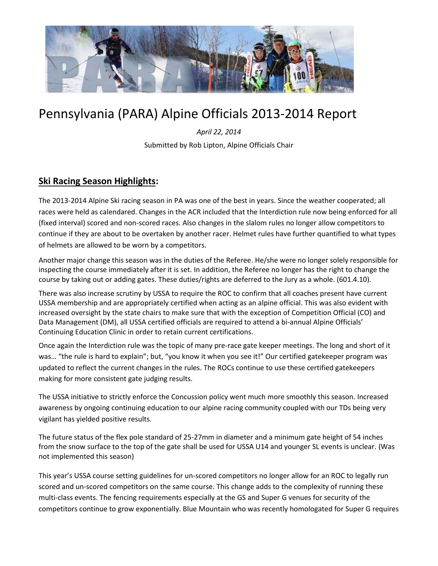

# Pennsylvania (PARA) Alpine Officials 2013-2014 Report

*April 22, 2014* Submitted by Rob Lipton, Alpine Officials Chair

# **Ski Racing Season Highlights:**

The 2013-2014 Alpine Ski racing season in PA was one of the best in years. Since the weather cooperated; all races were held as calendared. Changes in the ACR included that the Interdiction rule now being enforced for all (fixed interval) scored and non-scored races. Also changes in the slalom rules no longer allow competitors to continue if they are about to be overtaken by another racer. Helmet rules have further quantified to what types of helmets are allowed to be worn by a competitors.

Another major change this season was in the duties of the Referee. He/she were no longer solely responsible for inspecting the course immediately after it is set. In addition, the Referee no longer has the right to change the course by taking out or adding gates. These duties/rights are deferred to the Jury as a whole. (601.4.10).

There was also increase scrutiny by USSA to require the ROC to confirm that all coaches present have current USSA membership and are appropriately certified when acting as an alpine official. This was also evident with increased oversight by the state chairs to make sure that with the exception of Competition Official (CO) and Data Management (DM), all USSA certified officials are required to attend a bi-annual Alpine Officials' Continuing Education Clinic in order to retain current certifications.

Once again the Interdiction rule was the topic of many pre-race gate keeper meetings. The long and short of it was… "the rule is hard to explain"; but, "you know it when you see it!" Our certified gatekeeper program was updated to reflect the current changes in the rules. The ROCs continue to use these certified gatekeepers making for more consistent gate judging results.

The USSA initiative to strictly enforce the Concussion policy went much more smoothly this season. Increased awareness by ongoing continuing education to our alpine racing community coupled with our TDs being very vigilant has yielded positive results.

The future status of the flex pole standard of 25-27mm in diameter and a minimum gate height of 54 inches from the snow surface to the top of the gate shall be used for USSA U14 and younger SL events is unclear. (Was not implemented this season)

This year's USSA course setting guidelines for un-scored competitors no longer allow for an ROC to legally run scored and un-scored competitors on the same course. This change adds to the complexity of running these multi-class events. The fencing requirements especially at the GS and Super G venues for security of the competitors continue to grow exponentially. Blue Mountain who was recently homologated for Super G requires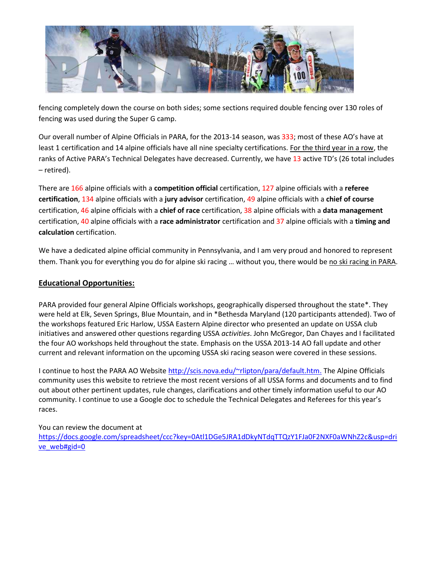

fencing completely down the course on both sides; some sections required double fencing over 130 roles of fencing was used during the Super G camp.

Our overall number of Alpine Officials in PARA, for the 2013-14 season, was 333; most of these AO's have at least 1 certification and 14 alpine officials have all nine specialty certifications. For the third year in a row, the ranks of Active PARA's Technical Delegates have decreased. Currently, we have 13 active TD's (26 total includes – retired).

There are 166 alpine officials with a **competition official** certification, 127 alpine officials with a **referee certification**, 134 alpine officials with a **jury advisor** certification, 49 alpine officials with a **chief of course** certification, 46 alpine officials with a **chief of race** certification, 38 alpine officials with a **data management**  certification, 40 alpine officials with a **race administrator** certification and 37 alpine officials with a **timing and calculation** certification.

We have a dedicated alpine official community in Pennsylvania, and I am very proud and honored to represent them. Thank you for everything you do for alpine ski racing ... without you, there would be no ski racing in PARA.

# **Educational Opportunities:**

PARA provided four general Alpine Officials workshops, geographically dispersed throughout the state\*. They were held at Elk, Seven Springs, Blue Mountain, and in \*Bethesda Maryland (120 participants attended). Two of the workshops featured Eric Harlow, USSA Eastern Alpine director who presented an update on USSA club initiatives and answered other questions regarding USSA *activities*. John McGregor, Dan Chayes and I facilitated the four AO workshops held throughout the state. Emphasis on the USSA 2013-14 AO fall update and other current and relevant information on the upcoming USSA ski racing season were covered in these sessions.

I continue to host the PARA AO Website [http://scis.nova.edu/~rlipton/para/default.htm.](http://scis.nova.edu/~rlipton/para/default.htm) The Alpine Officials community uses this website to retrieve the most recent versions of all USSA forms and documents and to find out about other pertinent updates, rule changes, clarifications and other timely information useful to our AO community. I continue to use a Google doc to schedule the Technical Delegates and Referees for this year's races.

# You can review the document at

[https://docs.google.com/spreadsheet/ccc?key=0Atl1DGe5JRA1dDkyNTdqTTQzY1FJa0F2NXF0aWNhZ2c&usp=dri](https://docs.google.com/spreadsheet/ccc?key=0Atl1DGe5JRA1dDkyNTdqTTQzY1FJa0F2NXF0aWNhZ2c&usp=drive_web%23gid=0) [ve\\_web#gid=0](https://docs.google.com/spreadsheet/ccc?key=0Atl1DGe5JRA1dDkyNTdqTTQzY1FJa0F2NXF0aWNhZ2c&usp=drive_web%23gid=0)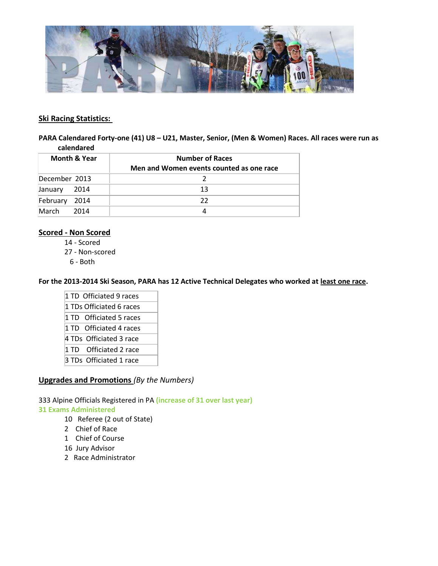

#### **Ski Racing Statistics:**

**PARA Calendared Forty-one (41) U8 – U21, Master, Senior, (Men & Women) Races. All races were run as calendared**

| <b>Month &amp; Year</b> |      | <b>Number of Races</b>                   |  |
|-------------------------|------|------------------------------------------|--|
|                         |      | Men and Women events counted as one race |  |
| December 2013           |      |                                          |  |
| January                 | 2014 | 13                                       |  |
| February                | 2014 | 22                                       |  |
| March                   | 2014 |                                          |  |

# **Scored - Non Scored**

14 - Scored

27 - Non-scored

6 - Both

**For the 2013-2014 Ski Season, PARA has 12 Active Technical Delegates who worked at least one race.** 

- 1 TD Officiated 9 races 1 TDs Officiated 6 races 1 TD Officiated 5 races 1 TD Officiated 4 races 4 TDs Officiated 3 race 1 TD Officiated 2 race
- 3 TDs Officiated 1 race

# **Upgrades and Promotions** *(By the Numbers)*

333 Alpine Officials Registered in PA **(increase of 31 over last year)**

#### **31 Exams Administered**

- 10 Referee (2 out of State)
- 2 Chief of Race
- 1 Chief of Course
- 16 Jury Advisor
- 2 Race Administrator